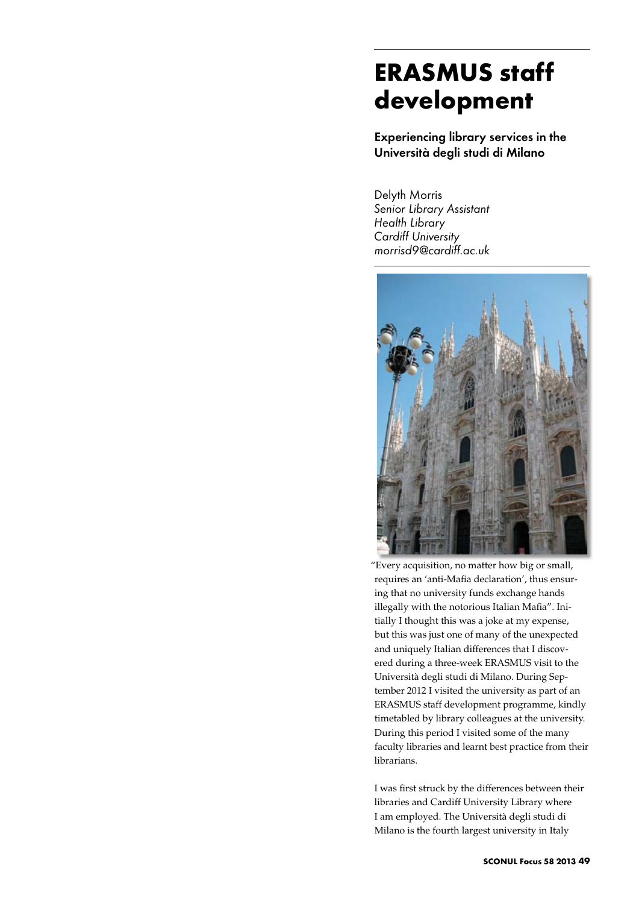## **ERASMUS staff development**

Experiencing library services in the Università degli studi di Milano

Delyth Morris *Senior Library Assistant Health Library Cardiff University morrisd9@cardiff.ac.uk*



"Every acquisition, no matter how big or small, requires an 'anti-Mafia declaration', thus ensuring that no university funds exchange hands illegally with the notorious Italian Mafia". Initially I thought this was a joke at my expense, but this was just one of many of the unexpected and uniquely Italian differences that I discovered during a three-week ERASMUS visit to the Università degli studi di Milano. During September 2012 I visited the university as part of an ERASMUS staff development programme, kindly timetabled by library colleagues at the university. During this period I visited some of the many faculty libraries and learnt best practice from their librarians.

I was first struck by the differences between their libraries and Cardiff University Library where I am employed. The Università degli studi di Milano is the fourth largest university in Italy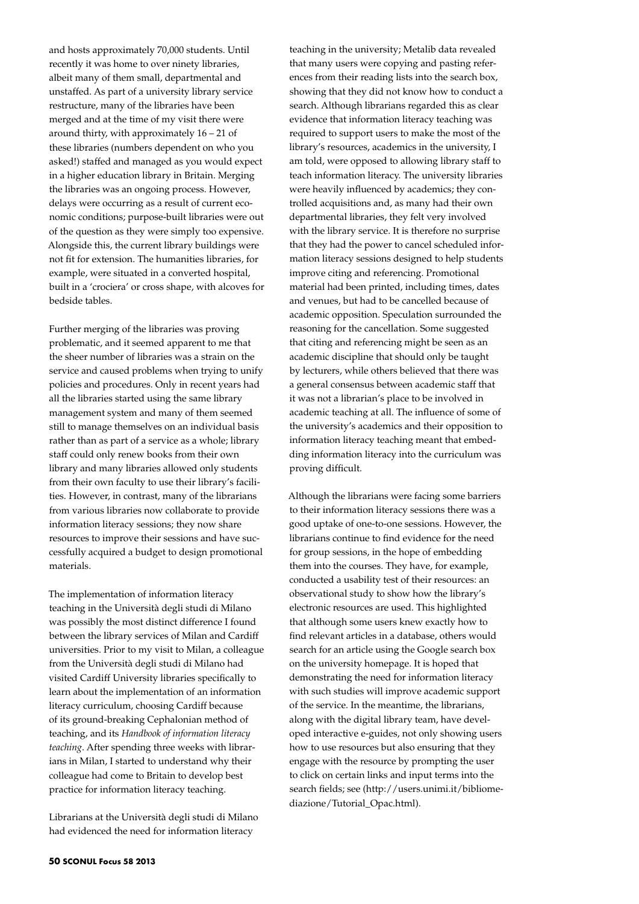and hosts approximately 70,000 students. Until recently it was home to over ninety libraries, albeit many of them small, departmental and unstaffed. As part of a university library service restructure, many of the libraries have been merged and at the time of my visit there were around thirty, with approximately 16 – 21 of these libraries (numbers dependent on who you asked!) staffed and managed as you would expect in a higher education library in Britain. Merging the libraries was an ongoing process. However, delays were occurring as a result of current economic conditions; purpose-built libraries were out of the question as they were simply too expensive. Alongside this, the current library buildings were not fit for extension. The humanities libraries, for example, were situated in a converted hospital, built in a 'crociera' or cross shape, with alcoves for bedside tables.

Further merging of the libraries was proving problematic, and it seemed apparent to me that the sheer number of libraries was a strain on the service and caused problems when trying to unify policies and procedures. Only in recent years had all the libraries started using the same library management system and many of them seemed still to manage themselves on an individual basis rather than as part of a service as a whole; library staff could only renew books from their own library and many libraries allowed only students from their own faculty to use their library's facilities. However, in contrast, many of the librarians from various libraries now collaborate to provide information literacy sessions; they now share resources to improve their sessions and have successfully acquired a budget to design promotional materials.

The implementation of information literacy teaching in the Università degli studi di Milano was possibly the most distinct difference I found between the library services of Milan and Cardiff universities. Prior to my visit to Milan, a colleague from the Università degli studi di Milano had visited Cardiff University libraries specifically to learn about the implementation of an information literacy curriculum, choosing Cardiff because of its ground-breaking Cephalonian method of teaching, and its *Handbook of information literacy teaching*. After spending three weeks with librarians in Milan, I started to understand why their colleague had come to Britain to develop best practice for information literacy teaching.

Librarians at the Università degli studi di Milano had evidenced the need for information literacy

teaching in the university; Metalib data revealed that many users were copying and pasting references from their reading lists into the search box, showing that they did not know how to conduct a search. Although librarians regarded this as clear evidence that information literacy teaching was required to support users to make the most of the library's resources, academics in the university, I am told, were opposed to allowing library staff to teach information literacy. The university libraries were heavily influenced by academics; they controlled acquisitions and, as many had their own departmental libraries, they felt very involved with the library service. It is therefore no surprise that they had the power to cancel scheduled information literacy sessions designed to help students improve citing and referencing. Promotional material had been printed, including times, dates and venues, but had to be cancelled because of academic opposition. Speculation surrounded the reasoning for the cancellation. Some suggested that citing and referencing might be seen as an academic discipline that should only be taught by lecturers, while others believed that there was a general consensus between academic staff that it was not a librarian's place to be involved in academic teaching at all. The influence of some of the university's academics and their opposition to information literacy teaching meant that embedding information literacy into the curriculum was proving difficult.

Although the librarians were facing some barriers to their information literacy sessions there was a good uptake of one-to-one sessions. However, the librarians continue to find evidence for the need for group sessions, in the hope of embedding them into the courses. They have, for example, conducted a usability test of their resources: an observational study to show how the library's electronic resources are used. This highlighted that although some users knew exactly how to find relevant articles in a database, others would search for an article using the Google search box on the university homepage. It is hoped that demonstrating the need for information literacy with such studies will improve academic support of the service. In the meantime, the librarians, along with the digital library team, have developed interactive e-guides, not only showing users how to use resources but also ensuring that they engage with the resource by prompting the user to click on certain links and input terms into the search fields; see (http://users.unimi.it/bibliomediazione/Tutorial\_Opac.html).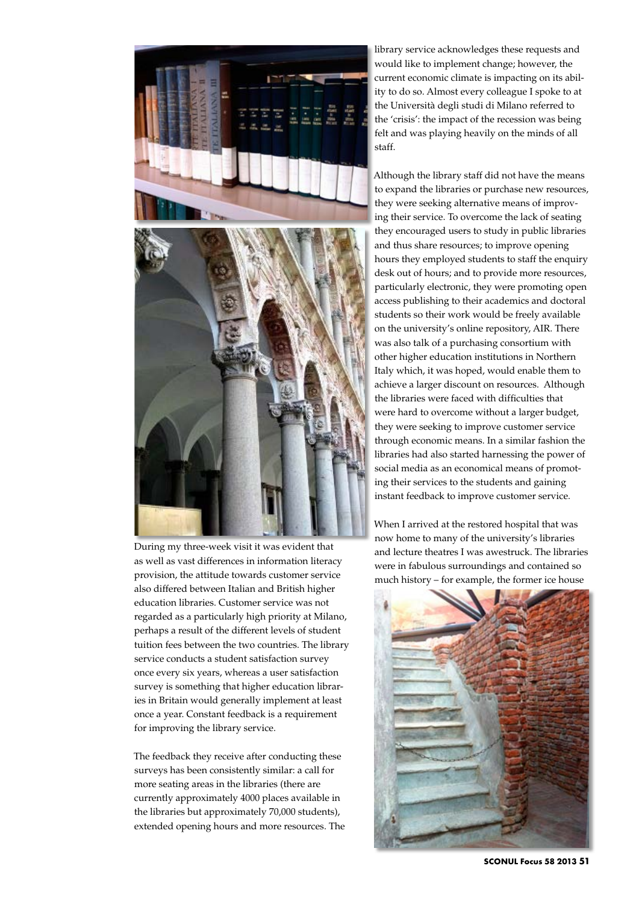

During my three-week visit it was evident that as well as vast differences in information literacy provision, the attitude towards customer service also differed between Italian and British higher education libraries. Customer service was not regarded as a particularly high priority at Milano, perhaps a result of the different levels of student tuition fees between the two countries. The library service conducts a student satisfaction survey once every six years, whereas a user satisfaction survey is something that higher education libraries in Britain would generally implement at least once a year. Constant feedback is a requirement for improving the library service.

The feedback they receive after conducting these surveys has been consistently similar: a call for more seating areas in the libraries (there are currently approximately 4000 places available in the libraries but approximately 70,000 students), extended opening hours and more resources. The library service acknowledges these requests and would like to implement change; however, the current economic climate is impacting on its ability to do so. Almost every colleague I spoke to at the Università degli studi di Milano referred to the 'crisis': the impact of the recession was being felt and was playing heavily on the minds of all staff.

Although the library staff did not have the means to expand the libraries or purchase new resources, they were seeking alternative means of improving their service. To overcome the lack of seating they encouraged users to study in public libraries and thus share resources; to improve opening hours they employed students to staff the enquiry desk out of hours; and to provide more resources, particularly electronic, they were promoting open access publishing to their academics and doctoral students so their work would be freely available on the university's online repository, AIR. There was also talk of a purchasing consortium with other higher education institutions in Northern Italy which, it was hoped, would enable them to achieve a larger discount on resources. Although the libraries were faced with difficulties that were hard to overcome without a larger budget, they were seeking to improve customer service through economic means. In a similar fashion the libraries had also started harnessing the power of social media as an economical means of promoting their services to the students and gaining instant feedback to improve customer service.

When I arrived at the restored hospital that was now home to many of the university's libraries and lecture theatres I was awestruck. The libraries were in fabulous surroundings and contained so much history – for example, the former ice house



**SCONUL Focus 58 2013 51**